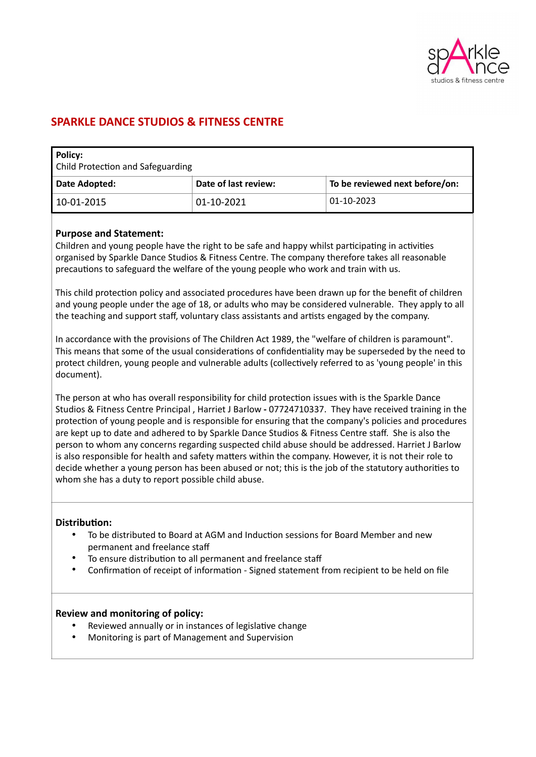

# **SPARKLE DANCE STUDIOS & FITNESS CENTRE**

| Policy:<br><b>Child Protection and Safeguarding</b> |                      |                                |
|-----------------------------------------------------|----------------------|--------------------------------|
| Date Adopted:                                       | Date of last review: | To be reviewed next before/on: |
| 10-01-2015                                          | 01-10-2021           | 01-10-2023                     |

### **Purpose and Statement:**

Children and young people have the right to be safe and happy whilst participating in activities organised by Sparkle Dance Studios & Fitness Centre. The company therefore takes all reasonable precautions to safeguard the welfare of the young people who work and train with us.

This child protection policy and associated procedures have been drawn up for the benefit of children and young people under the age of 18, or adults who may be considered vulnerable. They apply to all the teaching and support staff, voluntary class assistants and artists engaged by the company.

In accordance with the provisions of The Children Act 1989, the "welfare of children is paramount". This means that some of the usual considerations of confidentiality may be superseded by the need to protect children, young people and vulnerable adults (collectively referred to as 'young people' in this document).

The person at who has overall responsibility for child protection issues with is the Sparkle Dance Studios & Fitness Centre Principal , Harriet J Barlow **-** 07724710337. They have received training in the protection of young people and is responsible for ensuring that the company's policies and procedures are kept up to date and adhered to by Sparkle Dance Studios & Fitness Centre staff. She is also the person to whom any concerns regarding suspected child abuse should be addressed. Harriet J Barlow is also responsible for health and safety matters within the company. However, it is not their role to decide whether a young person has been abused or not; this is the job of the statutory authorities to whom she has a duty to report possible child abuse.

#### **Distribution:**

- To be distributed to Board at AGM and Induction sessions for Board Member and new permanent and freelance staff
- To ensure distribution to all permanent and freelance staff
- Confirmation of receipt of information Signed statement from recipient to be held on file

#### **Review and monitoring of policy:**

- Reviewed annually or in instances of legislative change
- Monitoring is part of Management and Supervision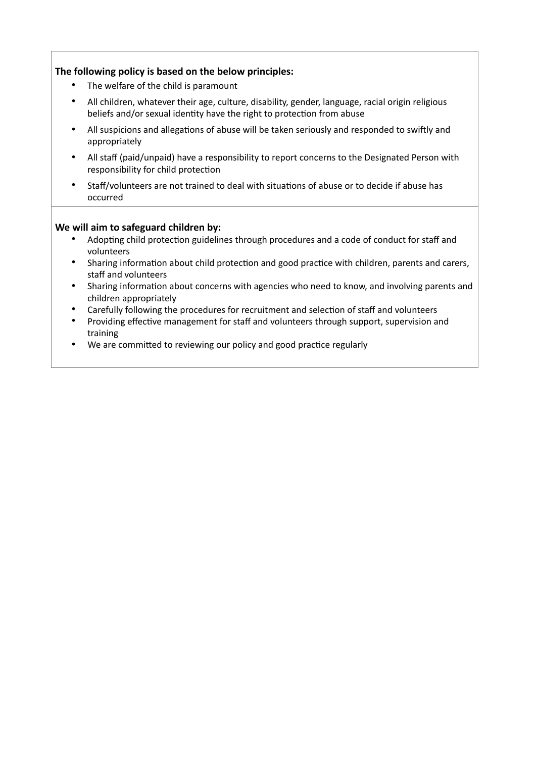# **The following policy is based on the below principles:**

- The welfare of the child is paramount
- All children, whatever their age, culture, disability, gender, language, racial origin religious beliefs and/or sexual identity have the right to protection from abuse
- All suspicions and allegations of abuse will be taken seriously and responded to swiftly and appropriately
- All staff (paid/unpaid) have a responsibility to report concerns to the Designated Person with responsibility for child protection
- Staff/volunteers are not trained to deal with situations of abuse or to decide if abuse has occurred

## **We will aim to safeguard children by:**

- Adopting child protection guidelines through procedures and a code of conduct for staff and volunteers
- Sharing information about child protection and good practice with children, parents and carers, staff and volunteers
- Sharing information about concerns with agencies who need to know, and involving parents and children appropriately
- Carefully following the procedures for recruitment and selection of staff and volunteers
- Providing effective management for staff and volunteers through support, supervision and training
- We are committed to reviewing our policy and good practice regularly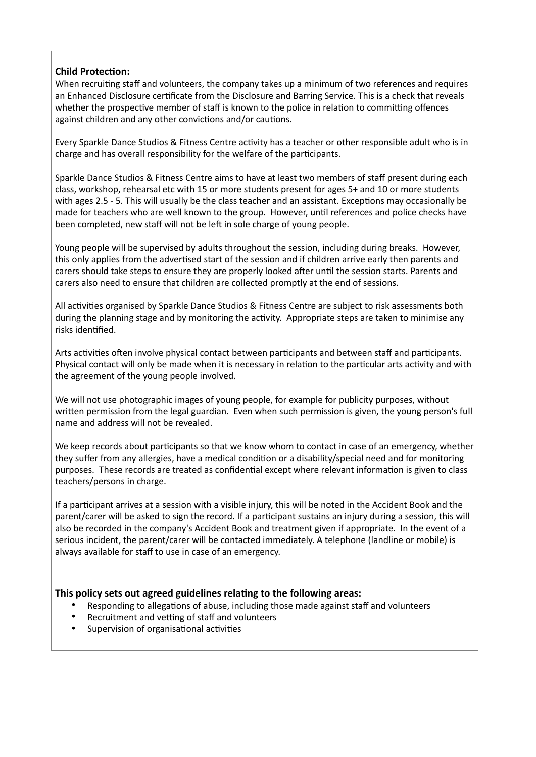# **Child Protection:**

When recruiting staff and volunteers, the company takes up a minimum of two references and requires an Enhanced Disclosure certificate from the Disclosure and Barring Service. This is a check that reveals whether the prospective member of staff is known to the police in relation to committing offences against children and any other convictions and/or cautions.

Every Sparkle Dance Studios & Fitness Centre activity has a teacher or other responsible adult who is in charge and has overall responsibility for the welfare of the participants.

Sparkle Dance Studios & Fitness Centre aims to have at least two members of staff present during each class, workshop, rehearsal etc with 15 or more students present for ages 5+ and 10 or more students with ages 2.5 - 5. This will usually be the class teacher and an assistant. Exceptions may occasionally be made for teachers who are well known to the group. However, until references and police checks have been completed, new staff will not be left in sole charge of young people.

Young people will be supervised by adults throughout the session, including during breaks. However, this only applies from the advertised start of the session and if children arrive early then parents and carers should take steps to ensure they are properly looked after until the session starts. Parents and carers also need to ensure that children are collected promptly at the end of sessions.

All activities organised by Sparkle Dance Studios & Fitness Centre are subject to risk assessments both during the planning stage and by monitoring the activity. Appropriate steps are taken to minimise any risks identified.

Arts activities often involve physical contact between participants and between staff and participants. Physical contact will only be made when it is necessary in relation to the particular arts activity and with the agreement of the young people involved.

We will not use photographic images of young people, for example for publicity purposes, without written permission from the legal guardian. Even when such permission is given, the young person's full name and address will not be revealed.

We keep records about participants so that we know whom to contact in case of an emergency, whether they suffer from any allergies, have a medical condition or a disability/special need and for monitoring purposes. These records are treated as confidential except where relevant information is given to class teachers/persons in charge.

If a participant arrives at a session with a visible injury, this will be noted in the Accident Book and the parent/carer will be asked to sign the record. If a participant sustains an injury during a session, this will also be recorded in the company's Accident Book and treatment given if appropriate. In the event of a serious incident, the parent/carer will be contacted immediately. A telephone (landline or mobile) is always available for staff to use in case of an emergency.

## **This policy sets out agreed guidelines relating to the following areas:**

- Responding to allegations of abuse, including those made against staff and volunteers
- Recruitment and vetting of staff and volunteers
- Supervision of organisational activities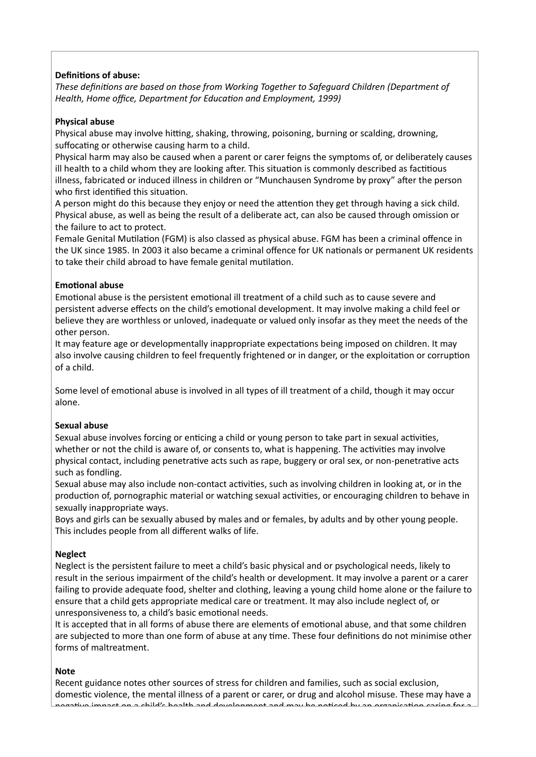# **Definitions of abuse:**

*These definitions are based on those from Working Together to Safeguard Children (Department of Health, Home office, Department for Education and Employment, 1999)*

#### **Physical abuse**

Physical abuse may involve hitting, shaking, throwing, poisoning, burning or scalding, drowning, suffocating or otherwise causing harm to a child.

Physical harm may also be caused when a parent or carer feigns the symptoms of, or deliberately causes ill health to a child whom they are looking after. This situation is commonly described as factitious illness, fabricated or induced illness in children or "Munchausen Syndrome by proxy" after the person who first identified this situation.

A person might do this because they enjoy or need the attention they get through having a sick child. Physical abuse, as well as being the result of a deliberate act, can also be caused through omission or the failure to act to protect.

Female Genital Mutilation (FGM) is also classed as physical abuse. FGM has been a criminal offence in the UK since 1985. In 2003 it also became a criminal offence for UK nationals or permanent UK residents to take their child abroad to have female genital mutilation.

### **Emotional abuse**

Emotional abuse is the persistent emotional ill treatment of a child such as to cause severe and persistent adverse effects on the child's emotional development. It may involve making a child feel or believe they are worthless or unloved, inadequate or valued only insofar as they meet the needs of the other person.

It may feature age or developmentally inappropriate expectations being imposed on children. It may also involve causing children to feel frequently frightened or in danger, or the exploitation or corruption of a child.

Some level of emotional abuse is involved in all types of ill treatment of a child, though it may occur alone.

#### **Sexual abuse**

Sexual abuse involves forcing or enticing a child or young person to take part in sexual activities, whether or not the child is aware of, or consents to, what is happening. The activities may involve physical contact, including penetrative acts such as rape, buggery or oral sex, or non-penetrative acts such as fondling.

Sexual abuse may also include non-contact activities, such as involving children in looking at, or in the production of, pornographic material or watching sexual activities, or encouraging children to behave in sexually inappropriate ways.

Boys and girls can be sexually abused by males and or females, by adults and by other young people. This includes people from all different walks of life.

#### **Neglect**

Neglect is the persistent failure to meet a child's basic physical and or psychological needs, likely to result in the serious impairment of the child's health or development. It may involve a parent or a carer failing to provide adequate food, shelter and clothing, leaving a young child home alone or the failure to ensure that a child gets appropriate medical care or treatment. It may also include neglect of, or unresponsiveness to, a child's basic emotional needs.

It is accepted that in all forms of abuse there are elements of emotional abuse, and that some children are subjected to more than one form of abuse at any time. These four definitions do not minimise other forms of maltreatment.

#### **Note**

Recent guidance notes other sources of stress for children and families, such as social exclusion, domestic violence, the mental illness of a parent or carer, or drug and alcohol misuse. These may have a negative impact on a child's health and development and may be noticed by an organisation caring for a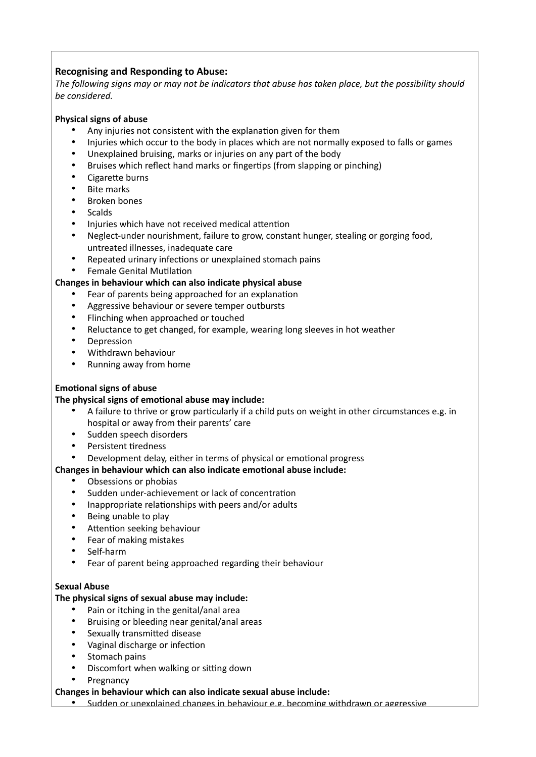# **Recognising and Responding to Abuse:**

*The following signs may or may not be indicators that abuse has taken place, but the possibility should be considered.*

### **Physical signs of abuse**

- Any injuries not consistent with the explanation given for them
- Injuries which occur to the body in places which are not normally exposed to falls or games
- Unexplained bruising, marks or injuries on any part of the body
- Bruises which reflect hand marks or fingertips (from slapping or pinching)
- Cigarette burns
- **Bite marks**
- Broken bones
- **Scalds**
- Injuries which have not received medical attention
- Neglect-under nourishment, failure to grow, constant hunger, stealing or gorging food, untreated illnesses, inadequate care
- Repeated urinary infections or unexplained stomach pains
- Female Genital Mutilation

### **Changes in behaviour which can also indicate physical abuse**

- Fear of parents being approached for an explanation
- Aggressive behaviour or severe temper outbursts
- Flinching when approached or touched
- Reluctance to get changed, for example, wearing long sleeves in hot weather
- Depression
- Withdrawn behaviour
- Running away from home

## **Emotional signs of abuse**

#### **The physical signs of emotional abuse may include:**

- A failure to thrive or grow particularly if a child puts on weight in other circumstances e.g. in hospital or away from their parents' care
- Sudden speech disorders
- Persistent tiredness
- Development delay, either in terms of physical or emotional progress

## **Changes in behaviour which can also indicate emotional abuse include:**

- Obsessions or phobias
- Sudden under-achievement or lack of concentration
- Inappropriate relationships with peers and/or adults
- Being unable to play
- Attention seeking behaviour
- Fear of making mistakes
- Self-harm
- Fear of parent being approached regarding their behaviour

#### **Sexual Abuse**

## **The physical signs of sexual abuse may include:**

- Pain or itching in the genital/anal area
- Bruising or bleeding near genital/anal areas
- Sexually transmitted disease
- Vaginal discharge or infection
- Stomach pains
- Discomfort when walking or sitting down
- **Pregnancy**

# **Changes in behaviour which can also indicate sexual abuse include:**

• Sudden or unexplained changes in behaviour e.g. becoming withdrawn or aggressive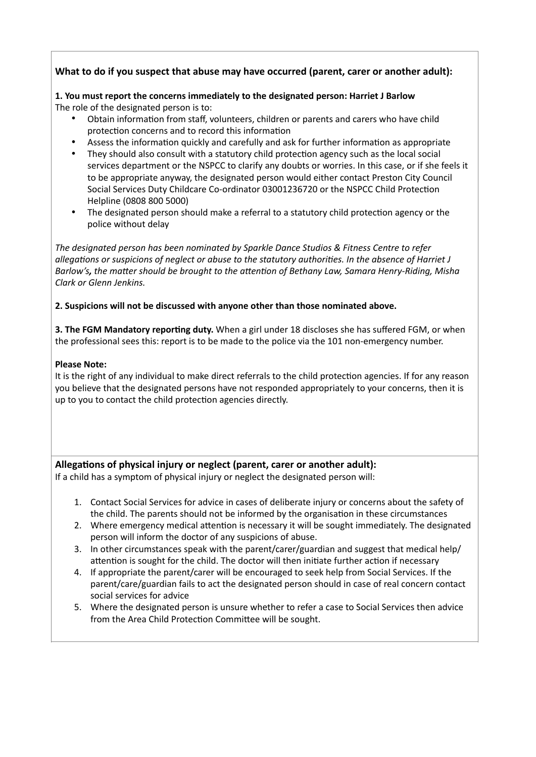# **What to do if you suspect that abuse may have occurred (parent, carer or another adult):**

#### **1. You must report the concerns immediately to the designated person: Harriet J Barlow**  The role of the designated person is to:

- Obtain information from staff, volunteers, children or parents and carers who have child protection concerns and to record this information
- Assess the information quickly and carefully and ask for further information as appropriate
- They should also consult with a statutory child protection agency such as the local social services department or the NSPCC to clarify any doubts or worries. In this case, or if she feels it to be appropriate anyway, the designated person would either contact Preston City Council Social Services Duty Childcare Co-ordinator 03001236720 or the NSPCC Child Protection Helpline (0808 800 5000)
- The designated person should make a referral to a statutory child protection agency or the police without delay

*The designated person has been nominated by Sparkle Dance Studios & Fitness Centre to refer allegations or suspicions of neglect or abuse to the statutory authorities. In the absence of Harriet J Barlow's, the matter should be brought to the attention of Bethany Law, Samara Henry-Riding, Misha Clark or Glenn Jenkins.* 

## **2. Suspicions will not be discussed with anyone other than those nominated above.**

**3. The FGM Mandatory reporting duty.** When a girl under 18 discloses she has suffered FGM, or when the professional sees this: report is to be made to the police via the 101 non-emergency number.

### **Please Note:**

It is the right of any individual to make direct referrals to the child protection agencies. If for any reason you believe that the designated persons have not responded appropriately to your concerns, then it is up to you to contact the child protection agencies directly.

# **Allegations of physical injury or neglect (parent, carer or another adult):**

If a child has a symptom of physical injury or neglect the designated person will:

- 1. Contact Social Services for advice in cases of deliberate injury or concerns about the safety of the child. The parents should not be informed by the organisation in these circumstances
- 2. Where emergency medical attention is necessary it will be sought immediately. The designated person will inform the doctor of any suspicions of abuse.
- 3. In other circumstances speak with the parent/carer/guardian and suggest that medical help/ attention is sought for the child. The doctor will then initiate further action if necessary
- 4. If appropriate the parent/carer will be encouraged to seek help from Social Services. If the parent/care/guardian fails to act the designated person should in case of real concern contact social services for advice
- 5. Where the designated person is unsure whether to refer a case to Social Services then advice from the Area Child Protection Committee will be sought.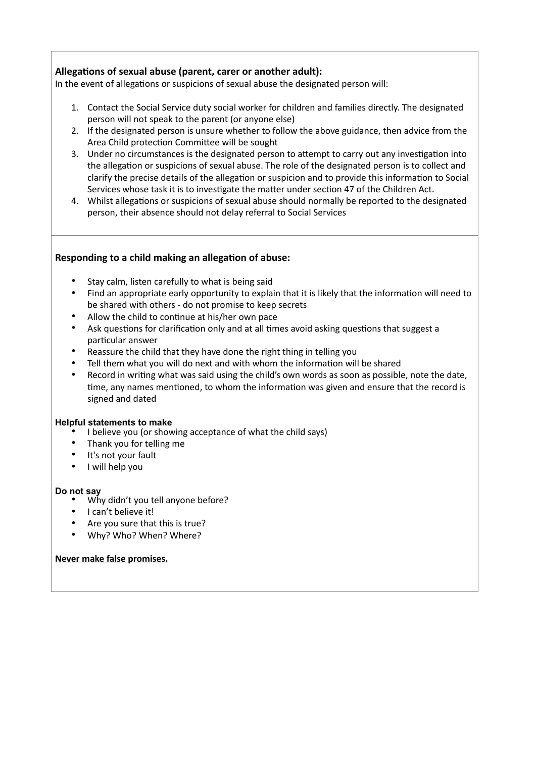# **Allegations of sexual abuse (parent, carer or another adult):**

In the event of allegations or suspicions of sexual abuse the designated person will:

- 1. Contact the Social Service duty social worker for children and families directly. The designated person will not speak to the parent (or anyone else)
- 2. If the designated person is unsure whether to follow the above guidance, then advice from the Area Child protection Committee will be sought
- 3. Under no circumstances is the designated person to attempt to carry out any investigation into the allegation or suspicions of sexual abuse. The role of the designated person is to collect and clarify the precise details of the allegation or suspicion and to provide this information to Social Services whose task it is to investigate the matter under section 47 of the Children Act.
- 4. Whilst allegations or suspicions of sexual abuse should normally be reported to the designated person, their absence should not delay referral to Social Services

## **Responding to a child making an allegation of abuse:**

- Stay calm, listen carefully to what is being said
- Find an appropriate early opportunity to explain that it is likely that the information will need to be shared with others - do not promise to keep secrets
- Allow the child to continue at his/her own pace
- Ask questions for clarification only and at all times avoid asking questions that suggest a particular answer
- Reassure the child that they have done the right thing in telling you
- Tell them what you will do next and with whom the information will be shared
- Record in writing what was said using the child's own words as soon as possible, note the date, time, any names mentioned, to whom the information was given and ensure that the record is signed and dated

#### **Helpful statements to make**

- I believe you (or showing acceptance of what the child says)
- Thank you for telling me
- It's not your fault
- I will help you

#### **Do not say**

- Why didn't you tell anyone before?
- I can't believe it!
- Are you sure that this is true?
- Why? Who? When? Where?

#### **Never make false promises.**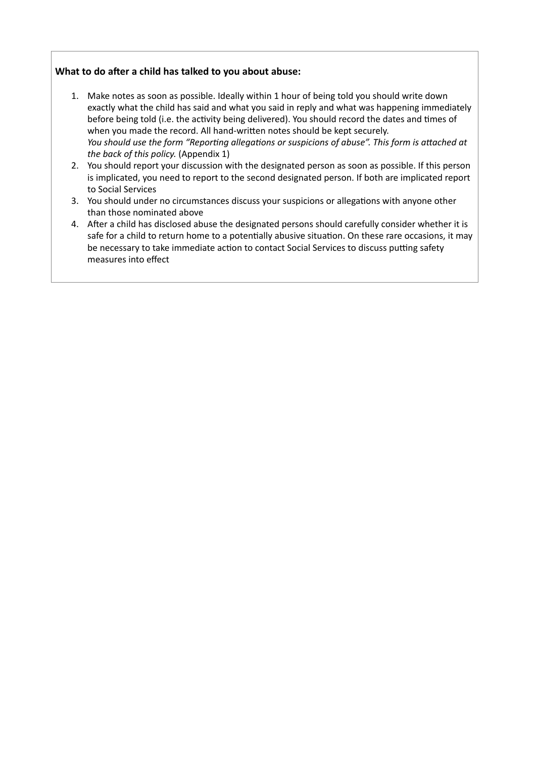# **What to do after a child has talked to you about abuse:**

- 1. Make notes as soon as possible. Ideally within 1 hour of being told you should write down exactly what the child has said and what you said in reply and what was happening immediately before being told (i.e. the activity being delivered). You should record the dates and times of when you made the record. All hand-written notes should be kept securely. *You should use the form "Reporting allegations or suspicions of abuse". This form is attached at the back of this policy.* (Appendix 1)
- 2. You should report your discussion with the designated person as soon as possible. If this person is implicated, you need to report to the second designated person. If both are implicated report to Social Services
- 3. You should under no circumstances discuss your suspicions or allegations with anyone other than those nominated above
- 4. After a child has disclosed abuse the designated persons should carefully consider whether it is safe for a child to return home to a potentially abusive situation. On these rare occasions, it may be necessary to take immediate action to contact Social Services to discuss putting safety measures into effect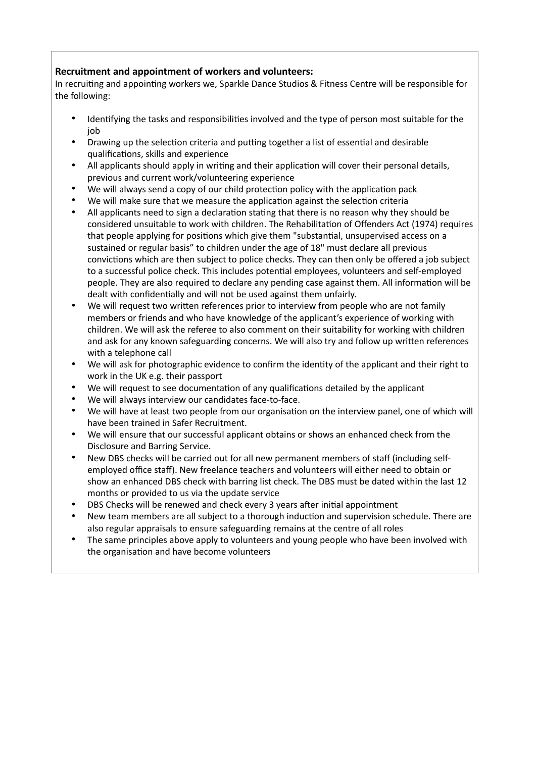# **Recruitment and appointment of workers and volunteers:**

In recruiting and appointing workers we, Sparkle Dance Studios & Fitness Centre will be responsible for the following:

- Identifying the tasks and responsibilities involved and the type of person most suitable for the job
- Drawing up the selection criteria and putting together a list of essential and desirable qualifications, skills and experience
- All applicants should apply in writing and their application will cover their personal details, previous and current work/volunteering experience
- We will always send a copy of our child protection policy with the application pack
- We will make sure that we measure the application against the selection criteria
- All applicants need to sign a declaration stating that there is no reason why they should be considered unsuitable to work with children. The Rehabilitation of Offenders Act (1974) requires that people applying for positions which give them "substantial, unsupervised access on a sustained or regular basis" to children under the age of 18" must declare all previous convictions which are then subject to police checks. They can then only be offered a job subject to a successful police check. This includes potential employees, volunteers and self-employed people. They are also required to declare any pending case against them. All information will be dealt with confidentially and will not be used against them unfairly.
- We will request two written references prior to interview from people who are not family members or friends and who have knowledge of the applicant's experience of working with children. We will ask the referee to also comment on their suitability for working with children and ask for any known safeguarding concerns. We will also try and follow up written references with a telephone call
- We will ask for photographic evidence to confirm the identity of the applicant and their right to work in the UK e.g. their passport
- We will request to see documentation of any qualifications detailed by the applicant
- We will always interview our candidates face-to-face.
- We will have at least two people from our organisation on the interview panel, one of which will have been trained in Safer Recruitment.
- We will ensure that our successful applicant obtains or shows an enhanced check from the Disclosure and Barring Service.
- New DBS checks will be carried out for all new permanent members of staff (including selfemployed office staff). New freelance teachers and volunteers will either need to obtain or show an enhanced DBS check with barring list check. The DBS must be dated within the last 12 months or provided to us via the update service
- DBS Checks will be renewed and check every 3 years after initial appointment
- New team members are all subject to a thorough induction and supervision schedule. There are also regular appraisals to ensure safeguarding remains at the centre of all roles
- The same principles above apply to volunteers and young people who have been involved with the organisation and have become volunteers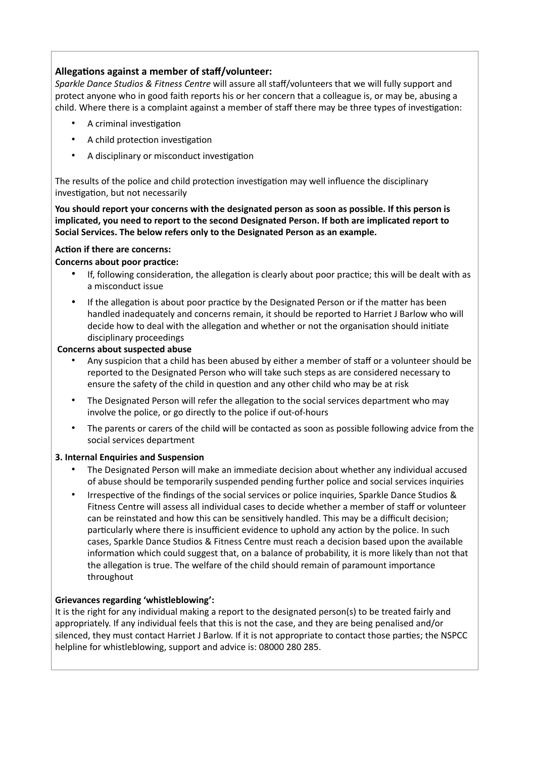# **Allegations against a member of staff/volunteer:**

*Sparkle Dance Studios & Fitness Centre* will assure all staff/volunteers that we will fully support and protect anyone who in good faith reports his or her concern that a colleague is, or may be, abusing a child. Where there is a complaint against a member of staff there may be three types of investigation:

- A criminal investigation
- A child protection investigation
- A disciplinary or misconduct investigation

The results of the police and child protection investigation may well influence the disciplinary investigation, but not necessarily

**You should report your concerns with the designated person as soon as possible. If this person is implicated, you need to report to the second Designated Person. If both are implicated report to Social Services. The below refers only to the Designated Person as an example.**

### **Action if there are concerns:**

### **Concerns about poor practice:**

- If, following consideration, the allegation is clearly about poor practice; this will be dealt with as a misconduct issue
- If the allegation is about poor practice by the Designated Person or if the matter has been handled inadequately and concerns remain, it should be reported to Harriet J Barlow who will decide how to deal with the allegation and whether or not the organisation should initiate disciplinary proceedings

### **Concerns about suspected abuse**

- Any suspicion that a child has been abused by either a member of staff or a volunteer should be reported to the Designated Person who will take such steps as are considered necessary to ensure the safety of the child in question and any other child who may be at risk
- The Designated Person will refer the allegation to the social services department who may involve the police, or go directly to the police if out-of-hours
- The parents or carers of the child will be contacted as soon as possible following advice from the social services department

#### **3. Internal Enquiries and Suspension**

- The Designated Person will make an immediate decision about whether any individual accused of abuse should be temporarily suspended pending further police and social services inquiries
- Irrespective of the findings of the social services or police inquiries, Sparkle Dance Studios & Fitness Centre will assess all individual cases to decide whether a member of staff or volunteer can be reinstated and how this can be sensitively handled. This may be a difficult decision; particularly where there is insufficient evidence to uphold any action by the police. In such cases, Sparkle Dance Studios & Fitness Centre must reach a decision based upon the available information which could suggest that, on a balance of probability, it is more likely than not that the allegation is true. The welfare of the child should remain of paramount importance throughout

## **Grievances regarding 'whistleblowing':**

It is the right for any individual making a report to the designated person(s) to be treated fairly and appropriately. If any individual feels that this is not the case, and they are being penalised and/or silenced, they must contact Harriet J Barlow. If it is not appropriate to contact those parties; the NSPCC helpline for whistleblowing, support and advice is: 08000 280 285.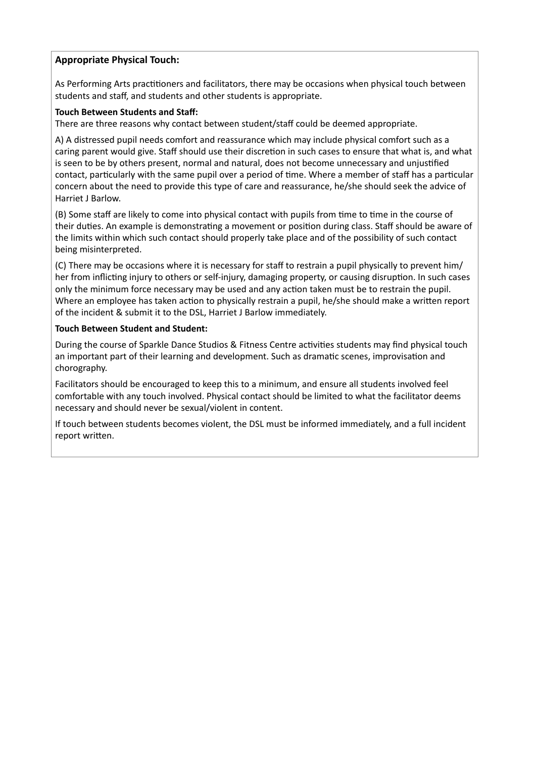# **Appropriate Physical Touch:**

As Performing Arts practitioners and facilitators, there may be occasions when physical touch between students and staff, and students and other students is appropriate.

### **Touch Between Students and Staff:**

There are three reasons why contact between student/staff could be deemed appropriate.

A) A distressed pupil needs comfort and reassurance which may include physical comfort such as a caring parent would give. Staff should use their discretion in such cases to ensure that what is, and what is seen to be by others present, normal and natural, does not become unnecessary and unjustified contact, particularly with the same pupil over a period of time. Where a member of staff has a particular concern about the need to provide this type of care and reassurance, he/she should seek the advice of Harriet J Barlow.

(B) Some staff are likely to come into physical contact with pupils from time to time in the course of their duties. An example is demonstrating a movement or position during class. Staff should be aware of the limits within which such contact should properly take place and of the possibility of such contact being misinterpreted.

(C) There may be occasions where it is necessary for staff to restrain a pupil physically to prevent him/ her from inflicting injury to others or self-injury, damaging property, or causing disruption. In such cases only the minimum force necessary may be used and any action taken must be to restrain the pupil. Where an employee has taken action to physically restrain a pupil, he/she should make a written report of the incident & submit it to the DSL, Harriet J Barlow immediately.

#### **Touch Between Student and Student:**

During the course of Sparkle Dance Studios & Fitness Centre activities students may find physical touch an important part of their learning and development. Such as dramatic scenes, improvisation and chorography.

Facilitators should be encouraged to keep this to a minimum, and ensure all students involved feel comfortable with any touch involved. Physical contact should be limited to what the facilitator deems necessary and should never be sexual/violent in content.

If touch between students becomes violent, the DSL must be informed immediately, and a full incident report written.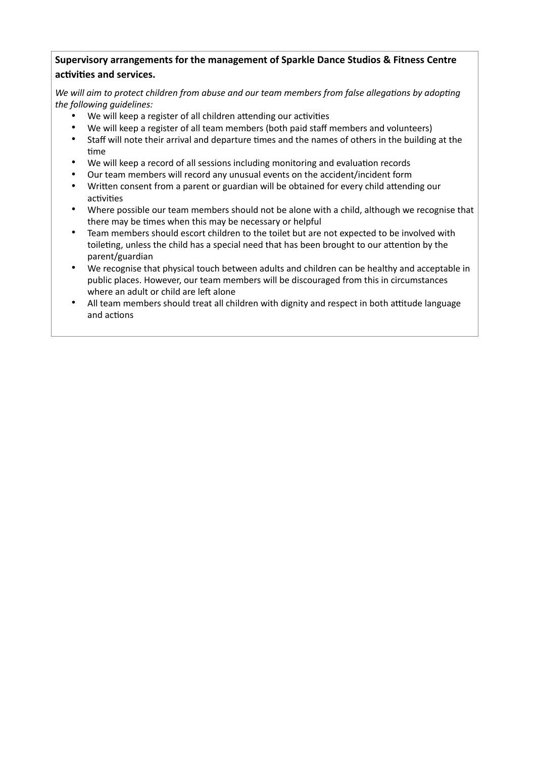# **Supervisory arrangements for the management of Sparkle Dance Studios & Fitness Centre activities and services.**

*We will aim to protect children from abuse and our team members from false allegations by adopting the following guidelines:*

- We will keep a register of all children attending our activities
- We will keep a register of all team members (both paid staff members and volunteers)
- Staff will note their arrival and departure times and the names of others in the building at the time
- We will keep a record of all sessions including monitoring and evaluation records
- Our team members will record any unusual events on the accident/incident form
- Written consent from a parent or guardian will be obtained for every child attending our activities
- Where possible our team members should not be alone with a child, although we recognise that there may be times when this may be necessary or helpful
- Team members should escort children to the toilet but are not expected to be involved with toileting, unless the child has a special need that has been brought to our attention by the parent/guardian
- We recognise that physical touch between adults and children can be healthy and acceptable in public places. However, our team members will be discouraged from this in circumstances where an adult or child are left alone
- All team members should treat all children with dignity and respect in both attitude language and actions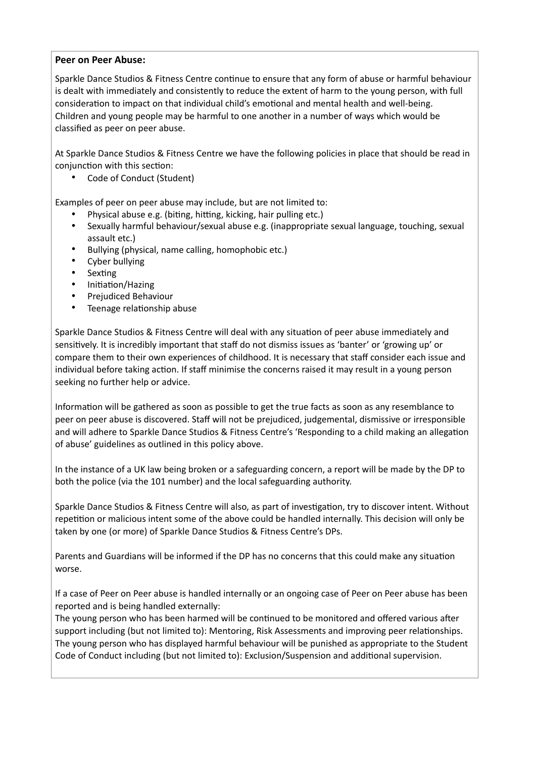### **Peer on Peer Abuse:**

Sparkle Dance Studios & Fitness Centre continue to ensure that any form of abuse or harmful behaviour is dealt with immediately and consistently to reduce the extent of harm to the young person, with full consideration to impact on that individual child's emotional and mental health and well-being. Children and young people may be harmful to one another in a number of ways which would be classified as peer on peer abuse.

At Sparkle Dance Studios & Fitness Centre we have the following policies in place that should be read in conjunction with this section:

• Code of Conduct (Student)

Examples of peer on peer abuse may include, but are not limited to:

- Physical abuse e.g. (biting, hitting, kicking, hair pulling etc.)
- Sexually harmful behaviour/sexual abuse e.g. (inappropriate sexual language, touching, sexual assault etc.)
- Bullying (physical, name calling, homophobic etc.)
- Cyber bullying
- **Sexting**
- Initiation/Hazing
- Prejudiced Behaviour
- Teenage relationship abuse

Sparkle Dance Studios & Fitness Centre will deal with any situation of peer abuse immediately and sensitively. It is incredibly important that staff do not dismiss issues as 'banter' or 'growing up' or compare them to their own experiences of childhood. It is necessary that staff consider each issue and individual before taking action. If staff minimise the concerns raised it may result in a young person seeking no further help or advice.

Information will be gathered as soon as possible to get the true facts as soon as any resemblance to peer on peer abuse is discovered. Staff will not be prejudiced, judgemental, dismissive or irresponsible and will adhere to Sparkle Dance Studios & Fitness Centre's 'Responding to a child making an allegation of abuse' guidelines as outlined in this policy above.

In the instance of a UK law being broken or a safeguarding concern, a report will be made by the DP to both the police (via the 101 number) and the local safeguarding authority.

Sparkle Dance Studios & Fitness Centre will also, as part of investigation, try to discover intent. Without repetition or malicious intent some of the above could be handled internally. This decision will only be taken by one (or more) of Sparkle Dance Studios & Fitness Centre's DPs.

Parents and Guardians will be informed if the DP has no concerns that this could make any situation worse.

If a case of Peer on Peer abuse is handled internally or an ongoing case of Peer on Peer abuse has been reported and is being handled externally:

The young person who has been harmed will be continued to be monitored and offered various after support including (but not limited to): Mentoring, Risk Assessments and improving peer relationships. The young person who has displayed harmful behaviour will be punished as appropriate to the Student Code of Conduct including (but not limited to): Exclusion/Suspension and additional supervision.